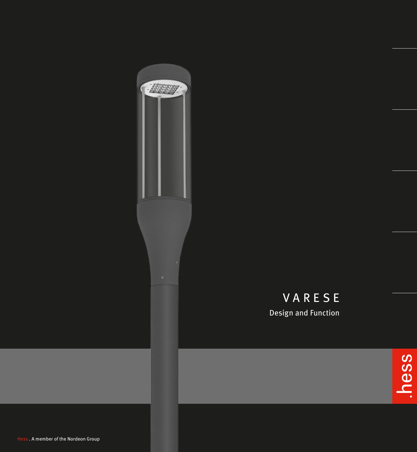## VARESE Design and Function

-1889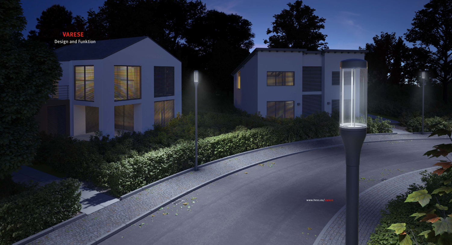

www.hess.eu/va

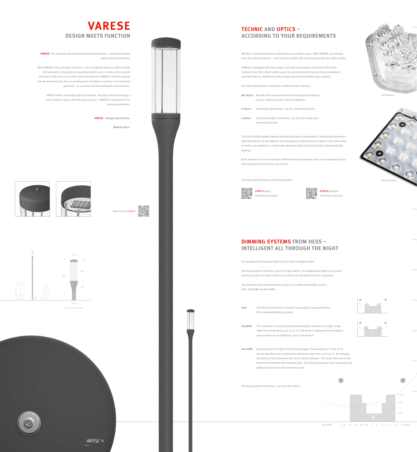30%

70%

100%

AstroDIM .. 20 21 22 23 24 1 2 3 4 5 6 .. o`Clock

## **DIMMING SYSTEMS FROM HESS – INTELLIGENT ALL THROUGH THE NIGHT**

## **TECHNIC AND OPTICS – ACCORDING TO YOUR REQUIREMENTS**

Whether a residential street, pedestrian area or public space. With VARESE, you already have the optimal solution – and the most modern LED technology for the best light quality.

VARESE is equipped with the compact and high-performance LEVO and LEVO Q LED modules from Hess. Warm white (3,000 K) and neutral white (4,000 K) are available as standard options. Additional colour temperatures are available upon request.

The LEVO LED module is available in different optic variants:

- **ME-Optics** Narrow with increased forward throw light distribution, e.g. for collecting roads and thoroughfares
- **S-Optics** Broad light distribution, e.g. for residential streets
- **J-Optics** Extra broad light distribution, e.g. for main roads and residential streets

**DALI** The DALI driver fitted as standard can easily be integrated into a DALI controlled lighting system.



The LEVO Q LED module expands the existing optics and provides a rotationally symmetric light distribution of 360 degrees for homogeneous illumination of squares and urban areas as well as an asymmetric variant with optimized light control for perfect street and path lighting.

AstroDIM A maximum of two night-time dimming stages (for example 70 % and 30 %) can be specified over a continuous dimming range from 10 to 100 %. Accordingly, the values of the luminaires are set as factory defaults. The driver determines the theoretical midnight time automatically. This dimming system does not require any additional external control infrastructure.

Both modules can be connected to different dimming systems and can be replaced quickly and easily at the end of their service life.

Technical specifications can be found under:

Do you want more than just light? Do you want intelligent light?

Dimming systems from Hess stand for high comfort, for needs-based light, for security and for a further increase in efficiency, which you will profit from for a long time.





You have the choice between three systems for needs-based light control – DALI, StepDIM and AstroDIM.

## **DESIGN MEETS FUNCTION VARESE**

**StepDIM** The luminaires' factory default programming is intended for single-stage night-time dimming (30, 50, or 70 %). The driver is integrated in the ballast and operates via an additional 230 V control lead.



Dimming systems from Hess – you have the choice.

**VARESE**. The new pole top mounted luminaires from Hess – minimalist design meets high functionality.

With VARESE, Hess provides architects, city and lighting planners with versatile LED luminaires. Designed for mounting heights up to 5 meters, this new LED luminaire is ideal for use in cities and municipalities. VARESE's timeless design blends discreetly into the surrounding area and allows a uniform and consistent approach – in a variety of urban and public environments.

VARESE offers extremely high functionality. The latest LED technology, a wide variety of optics and dimming systems – VARESE is equipped for for many requirements.

**VARESE – Design and function.**

**Made by Hess.**







LEVO Q-Module